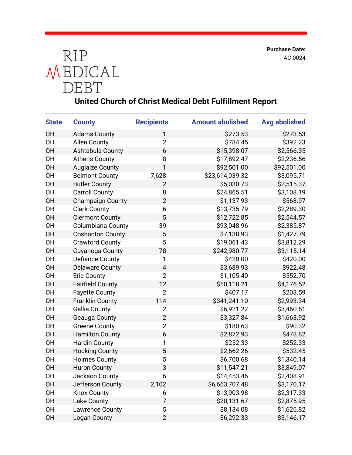**Purchase Date:** AC-0024



## **United Church of Christ Medical Debt Fulfillment Report**

| <b>State</b> | <b>County</b>            | <b>Recipients</b> | <b>Amount abolished</b> | <b>Avg abolished</b> |
|--------------|--------------------------|-------------------|-------------------------|----------------------|
| <b>OH</b>    | <b>Adams County</b>      | 1                 | \$273.53                | \$273.53             |
| 0H           | <b>Allen County</b>      | $\overline{2}$    | \$784.45                | \$392.23             |
| <b>OH</b>    | Ashtabula County         | 6                 | \$15,398.07             | \$2,566.35           |
| <b>OH</b>    | <b>Athens County</b>     | 8                 | \$17,892.47             | \$2,236.56           |
| <b>OH</b>    | <b>Auglaize County</b>   | 1                 | \$92,501.00             | \$92,501.00          |
| 0H           | <b>Belmont County</b>    | 7,628             | \$23,614,039.32         | \$3,095.71           |
| OH           | <b>Butler County</b>     | $\overline{2}$    | \$5,030.73              | \$2,515.37           |
| 0H           | <b>Carroll County</b>    | 8                 | \$24,865.51             | \$3,108.19           |
| <b>OH</b>    | <b>Champaign County</b>  | $\overline{2}$    | \$1,137.93              | \$568.97             |
| 0H           | <b>Clark County</b>      | 6                 | \$13,735.79             | \$2,289.30           |
| <b>OH</b>    | <b>Clermont County</b>   | 5                 | \$12,722.85             | \$2,544.57           |
| 0H           | <b>Columbiana County</b> | 39                | \$93,048.96             | \$2,385.87           |
| <b>OH</b>    | <b>Coshocton County</b>  | 5                 | \$7,138.93              | \$1,427.79           |
| <b>OH</b>    | <b>Crawford County</b>   | 5                 | \$19,061.43             | \$3,812.29           |
| <b>OH</b>    | Cuyahoga County          | 78                | \$242,980.77            | \$3,115.14           |
| <b>OH</b>    | <b>Defiance County</b>   | 1                 | \$420.00                | \$420.00             |
| <b>OH</b>    | <b>Delaware County</b>   | 4                 | \$3,689.93              | \$922.48             |
| 0H           | <b>Erie County</b>       | $\overline{2}$    | \$1,105.40              | \$552.70             |
| <b>OH</b>    | <b>Fairfield County</b>  | 12                | \$50,118.21             | \$4,176.52           |
| 0H           | <b>Fayette County</b>    | $\overline{2}$    | \$407.17                | \$203.59             |
| OH           | <b>Franklin County</b>   | 114               | \$341,241.10            | \$2,993.34           |
| 0H           | <b>Gallia County</b>     | $\overline{2}$    | \$6,921.22              | \$3,460.61           |
| <b>OH</b>    | Geauga County            | $\overline{2}$    | \$3,327.84              | \$1,663.92           |
| 0H           | <b>Greene County</b>     | $\overline{2}$    | \$180.63                | \$90.32              |
| <b>OH</b>    | <b>Hamilton County</b>   | 6                 | \$2,872.93              | \$478.82             |
| <b>OH</b>    | <b>Hardin County</b>     | 1                 | \$252.33                | \$252.33             |
| <b>OH</b>    | <b>Hocking County</b>    | 5                 | \$2,662.26              | \$532.45             |
| <b>OH</b>    | <b>Holmes County</b>     | 5                 | \$6,700.68              | \$1,340.14           |
| <b>OH</b>    | <b>Huron County</b>      | 3                 | \$11,547.21             | \$3,849.07           |
| 0H           | Jackson County           | 6                 | \$14,453.46             | \$2,408.91           |
| <b>OH</b>    | Jefferson County         | 2,102             | \$6,663,707.48          | \$3,170.17           |
| 0H           | <b>Knox County</b>       | 6                 | \$13,903.98             | \$2,317.33           |
| <b>OH</b>    | Lake County              | 7                 | \$20,131.67             | \$2,875.95           |
| <b>OH</b>    | <b>Lawrence County</b>   | 5                 | \$8,134.08              | \$1,626.82           |
| <b>OH</b>    | Logan County             | $\overline{2}$    | \$6,292.33              | \$3,146.17           |